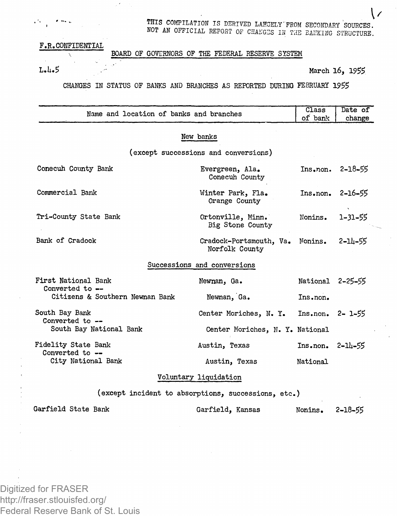THIS COMPILATION IS DERIVED LAHOELY'FROM SECONDARY SOURCES. NOT AN OFFICIAL REPORT OF CHANGES IN THE BANKING STRUCTURE.

## F.R.CONFIDENTIAL

## BOARD OF GOVERNORS OF THE FEDERAL RESERVE SYSTEM

V.

## $L_4L_5$  March 16, 1955

 $\mathsf{L}$ 

CHANGES IN STATUS OF BANKS AND BRANCHES AS REPORTED DURING FEBRUARY 1955

| Name and location of banks and branches             |                                                   | Class<br>of bank     | Date of<br>change  |  |
|-----------------------------------------------------|---------------------------------------------------|----------------------|--------------------|--|
| New banks                                           |                                                   |                      |                    |  |
|                                                     | (except successions and conversions)              |                      |                    |  |
| Conecuh County Bank                                 | Evergreen, Ala.<br>Conecuh County                 |                      | $Ins•non. 2-18-55$ |  |
| Commercial Bank                                     | Winter Park. Fla.<br>Orange County                | Ins.non.             | $2 - 16 - 55$      |  |
| Tri-County State Bank                               | Ortonville, Minn.<br>Big Stone County             | Nonins.              | $1 - 31 - 55$      |  |
| Bank of Cradock                                     | Cradock-Portsmouth, Va. Nonins.<br>Norfolk County |                      | 2-14-55            |  |
|                                                     | Successions and conversions                       |                      |                    |  |
| First National Bank<br>Converted to --              | Newnan, Ga.                                       | National 2-25-55     |                    |  |
| Citizens & Southern Newnan Bank                     | Newman, Ga.                                       | Ins.non.             |                    |  |
| South Bay Bank<br>Converted to --                   | Center Moriches, N. Y.                            | $Ins• non. 2 - 1-55$ |                    |  |
| South Bay National Bank                             | Center Moriches, N. Y. National                   |                      |                    |  |
| Fidelity State Bank<br>Converted to --              | Austin, Texas                                     | $Insenon$ $2-1h-55$  |                    |  |
| City National Bank                                  | Austin, Texas                                     | National             |                    |  |
| Voluntary liquidation                               |                                                   |                      |                    |  |
| (except incident to absorptions, successions, etc.) |                                                   |                      |                    |  |
| Garfield State Bank                                 | Garfield, Kansas                                  | Nonins.              | 2-18-55            |  |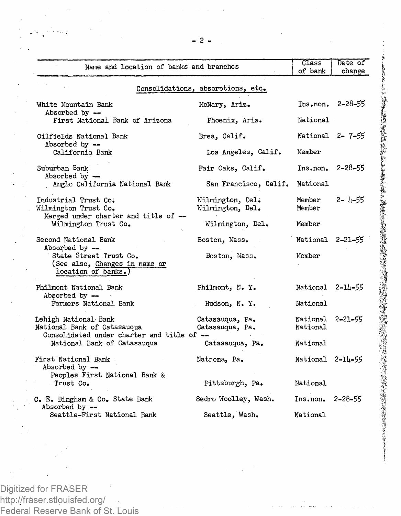| Name and location of banks and branches                                                           |                                      | <b>Class</b><br>of bank      | Date of<br>change   |  |  |
|---------------------------------------------------------------------------------------------------|--------------------------------------|------------------------------|---------------------|--|--|
| Consolidations, absorptions, etc.                                                                 |                                      |                              |                     |  |  |
| White Mountain Bank<br>Absorbed by --                                                             | McNary, Ariz.                        |                              | $Ins• non. 2-28-55$ |  |  |
| First National Bank of Arizona                                                                    | Phoenix, Ariz.                       | National                     |                     |  |  |
| Oilfields National Bank<br>Absorbed by --                                                         | Brea, Calif.                         | National 2-7-55              |                     |  |  |
| California Bank                                                                                   | Los Angeles, Calif.                  | Member                       |                     |  |  |
| Suburban Bank<br>Absorbed by $-$                                                                  | Fair Oaks, Calif.                    | $Insnon.$ 2-28-55            |                     |  |  |
| Anglo California National Bank                                                                    | San Francisco, Calif.                | National                     |                     |  |  |
| Industrial Trust Co.<br>Wilmington Trust Co.                                                      | Wilmington, Del.<br>Wilmington, Del. | Member<br>Member             | $2 - 1 - 55$        |  |  |
| Merged under charter and title of --<br>Wilmington Trust Co.                                      | Wilmington, Del.                     | Member                       |                     |  |  |
| Second National Bank<br>Absorbed by --                                                            | Boston, Mass.                        | National 2-21-55             |                     |  |  |
| State Street Trust Co.<br>(See also, Changes in name or<br>location of banks.)                    | Boston, Mass.                        | Member                       |                     |  |  |
| Philmont National Bank<br>Absorbed by --                                                          | Philmont, N. Y.                      | National 2-14-55             |                     |  |  |
| Farmers National Bank                                                                             | Hudson, N.Y.                         | National                     |                     |  |  |
| Lehigh National Bank<br>National Bank of Catasauqua<br>Consolidated under charter and title of -- | Catasauqua, Pa.<br>Catasauqua, Pa.   | National 2-21-55<br>National |                     |  |  |
| National Bank of Catasaugua                                                                       | Catasauqua, Pa.                      | National                     |                     |  |  |
| First National Bank<br>Absorbed by --                                                             | Natrona, Pa.                         | National 2-14-55             |                     |  |  |
| Peoples First National Bank &<br>Trust Co.                                                        | Pittsburgh, Pa.                      | National                     |                     |  |  |
| C. E. Bingham & Co. State Bank<br>Absorbed by --                                                  | Sedro Woolley, Wash.                 | $Ins•non. 2-28-55$           |                     |  |  |
| Seattle-First National Bank                                                                       | Seattle, Wash.                       | National                     |                     |  |  |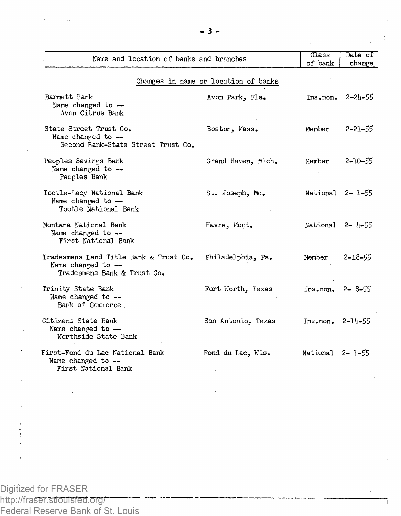| Name and location of banks and branches                                                      |                                      | Class                         | Date of       |
|----------------------------------------------------------------------------------------------|--------------------------------------|-------------------------------|---------------|
|                                                                                              |                                      | of bank                       | change        |
|                                                                                              | Changes in name or location of banks |                               |               |
| Barnett Bank<br>Name changed to --<br>Avon Citrus Bank                                       | Avon Park, Fla.                      | Ins.non.                      | $2 - 21 - 55$ |
| State Street Trust Co.<br>Name changed to --<br>Second Bank-State Street Trust Co.           | Boston, Mass.                        | Member                        | $2 - 21 - 55$ |
| Peoples Savings Bank<br>Name changed to --<br>Peoples Bank                                   | Grand Haven, Mich.                   | Member                        | 2-10-55       |
| Tootle-Lacy National Bank<br>Name changed to --<br>Tootle National Bank                      | St. Joseph, Mo.                      | National 2-1-55               |               |
| Montana National Bank<br>Name changed to --<br>First National Bank                           | Havre, Mont.                         | National 2- 4-55              |               |
| Tradesmens Land Title Bank & Trust Co.<br>Name changed to $-$<br>Tradesmens Bank & Trust Co. | Philadelphia, Pa.                    | Member                        | $2 - 18 - 55$ |
| Trinity State Bank<br>Name changed to --<br>Bank of Commerce                                 | Fort Worth, Texas                    | $Ins• non. 2 - 8 - 55$        |               |
| Citizens State Bank<br>Name changed to --<br>Northside State Bank                            | San Antonio, Texas                   | $Ins• non. 2-\frac{1}{11}–55$ |               |
| First-Fond du Lac National Bank<br>Name changed to --<br>First National Bank                 | Fond du Lac, Wis.                    | National 2-1-55               |               |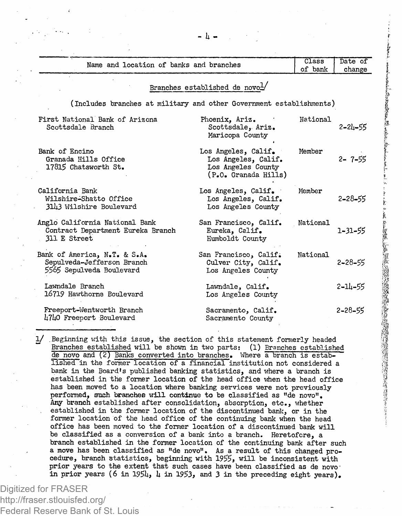| Name and location of banks and branches                                                |                                                                                          | Class    | Date of       |
|----------------------------------------------------------------------------------------|------------------------------------------------------------------------------------------|----------|---------------|
|                                                                                        |                                                                                          | of bank  | change        |
|                                                                                        | Branches established de novol/                                                           |          |               |
| (Includes branches at military and other Government establishments)                    |                                                                                          |          |               |
| First National Bank of Arizona<br>Scottsdale Branch                                    | Phoenix, Ariz.<br>Scottsdale, Ariz.<br>Maricopa County                                   | National | $2 - 21 - 55$ |
| Bank of Encino<br>Granada Hills Office<br>17815 Chatsworth St.                         | Los Angeles, Calif.<br>Los Angeles, Calif.<br>Los Angeles County<br>(P.O. Granada Hills) | Member   | $2 - 7 - 55$  |
| California Bank<br>Wilshire-Shatto Office<br>3143 Wilshire Boulevard                   | Los Angeles, Calif.<br>Los Angeles, Calif.<br>Los Angeles County                         | Member   | $2 - 28 - 55$ |
| Anglo California National Bank<br>Contract Department Eureka Branch<br>311 E Street    | San Francisco, Calif.<br>Eureka, Calif.<br>Humboldt Countv                               | National | 1-31-55       |
| Bank of America, N.T. & S.A.<br>Sepulveda-Jefferson Branch<br>5565 Sepulveda Boulevard | San Francisco, Calif.<br>Culver City, Calif.<br>Los Angeles County                       | National | $2 - 28 - 55$ |
| Laundale Branch<br>16719 Hawthorne Boulevard                                           | Lawndale, Calif.<br>Los Angeles County                                                   |          | 2-14-55       |
| Freeport-Wentworth Branch<br>4740 Freeport Boulevard                                   | Sacramento, Calif.<br>Sacramento County                                                  |          | $2 - 28 - 55$ |

1/ .Beginning with this issue, the section of this statement formerly headed ~~ Branches established will be shown in two parts: (1) Branches established de novo and (2) Banks converted into branches. Where a branch is established in the former location of a financial institution not considered a bank in the Board's published banking statistics, and where a branch is established in the former location of the head office when the head office has been moved to a location where banking services were not previously performed, such branches will continue to be classified as "de novo". Any branch established after consolidation, absorption, etc., whether established in the former location of the discontinued bank, or in the former location of the head office of the continuing bank when the head office has been moved to the former location of a discontinued bank will be classified as a conversion of a bank into a branch. Heretofore, a branch established in the former location of the continuing bank after such a move has been classified as <sup>11</sup> de novo". As a result of this changed pro-cedure, branch statistics, beginning with 1955, will be inconsistent with prior years to the extent that such cases have been classified as de novoin prior years (6 in 1954,  $\mu$  in 1953, and 3 in the preceding eight years).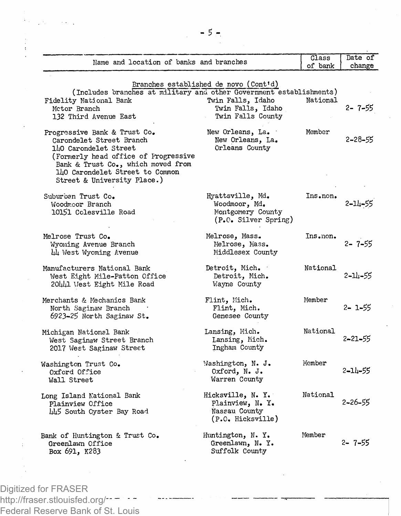| Name and location of banks and branches                             |                                        | Class<br>of bank | Date of<br>change |
|---------------------------------------------------------------------|----------------------------------------|------------------|-------------------|
|                                                                     |                                        |                  |                   |
|                                                                     | Branches established de novo (Cont'd)  |                  |                   |
| (Includes oranches at military and other Government establishments) |                                        |                  |                   |
| Fidelity National Bank<br>Mctor Branch                              | Twin Falls, Idaho<br>Twin Falls, Idaho | National         | $2 - 7 - 55$      |
| 132 Third Avenue East                                               | Twin Falls County                      |                  |                   |
|                                                                     |                                        |                  |                   |
| Progressive Bank & Trust Co.                                        | New Orleans, La.                       | Member           |                   |
| Carondelet Street Branch                                            | New Orleans, La.                       |                  | 2-28-55           |
| 1h0 Carondelet Street                                               | Orleans County                         |                  |                   |
| (Formerly head office of Progressive                                |                                        |                  |                   |
| Bank & Trust Co., which moved from                                  |                                        |                  |                   |
| 140 Carondelet Street to Common                                     |                                        |                  |                   |
| Street & University Place.)                                         |                                        |                  |                   |
| Suburban Trust Co.                                                  | Hyattsville, Md.                       | Ins.non.         |                   |
| Woodmoor Branch                                                     | Woodmoor, Md.                          |                  | $2 - 14 - 55$     |
| 10151 Colesville Road                                               | Montgomery County                      |                  |                   |
|                                                                     | (P.O. Silver Spring)                   |                  |                   |
|                                                                     |                                        |                  |                   |
| Melrose Trust Co.                                                   | Melrose, Mass.                         | Ins.non.         |                   |
| Wyoming Avenue Branch                                               | Melrose, Mass.                         |                  | $2 - 7 - 55$      |
| 44 West Wyoming Avenue                                              | Middlesex County                       |                  |                   |
| Manufacturers National Bank                                         | Detroit, Mich.                         | National         |                   |
| West Eight Mile-Patton Office                                       | Detroit, Mich.                         |                  | $2 - 11 - 55$     |
| 20441 West Eight Mile Road                                          | Wayne County                           |                  |                   |
| Merchants & Mechanics Bank                                          | Flint, Mich.                           | Member           |                   |
| North Saginaw Branch                                                | Flint, Mich.                           |                  | $2 - 1 - 55$      |
| 6923-25 North Saginaw St.                                           | Genesee County                         |                  |                   |
|                                                                     |                                        |                  |                   |
| Michigan National Bank                                              | Lansing, Mich.                         | National         |                   |
| West Saginaw Street Branch                                          | Lansing, Mich.                         |                  | $2 - 21 - 55$     |
| 2017 West Saginaw Street                                            | Ingham County                          |                  |                   |
| Washington Trust Co.                                                | Washington, N. J.                      | Member           |                   |
| Oxford Office                                                       | Oxford, N. J.                          |                  | $2 - 11 - 55$     |
| Wall Street                                                         | Warren County                          |                  |                   |
|                                                                     |                                        |                  |                   |
| Long Island National Bank                                           | Hicksville, N. Y.                      | National         | $2 - 26 - 55$     |
| Plainview Office                                                    | Plainview, N. Y.                       |                  |                   |
| 445 South Oyster Bay Road                                           | Nassau County                          |                  |                   |
|                                                                     | (P.O. Hicksville)                      |                  |                   |
| Bank of Huntington & Trust Co.                                      | Huntington, N.Y.                       | Member           |                   |
| Greenlawn Office                                                    | Greenlawn, N. Y.                       |                  | 2- 7-55           |
| Box 691, K283                                                       | Suffolk County                         |                  |                   |
|                                                                     |                                        |                  |                   |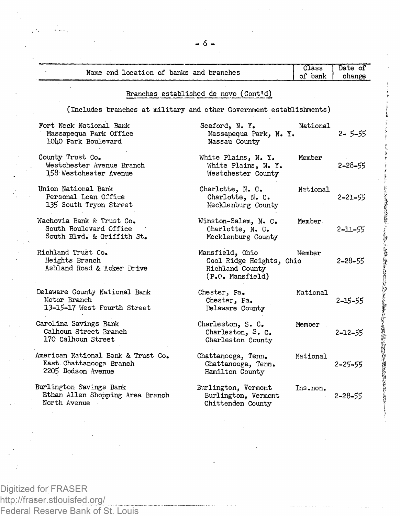| Name and location of banks and branches                                               |                                                                                    | Class<br>of bank | Date of<br>change |
|---------------------------------------------------------------------------------------|------------------------------------------------------------------------------------|------------------|-------------------|
|                                                                                       | Branches established de novo (Cont'd)                                              |                  |                   |
| (Includes branches at military and other Government establishments)                   |                                                                                    |                  |                   |
| Fort Neck National Bank<br>Massapequa Park Office<br>10 <sup>L</sup> O Park Boulevard | Seaford, N.Y.<br>Massapequa Park, N.Y.<br>Nassau County                            | National         | $2 - 5 - 55$      |
| County Trust Co.<br>Westchester Avenue Branch<br>158 Westchester Avenue               | White Plains, N. Y.<br>White Plains, N. Y.<br>Westchester County                   | Member           | $2 - 28 - 55$     |
| Union National Bank<br>Personal Loan Office<br>135 South Tryon Street                 | Charlotte, N. C.<br>Charlotte, N. C.<br>Mecklenburg County                         | National         | $2 - 21 - 55$     |
| Wachovia Bank & Trust Co.<br>South Boulevard Office<br>South Blvd. & Griffith St.     | Winston-Salem, N. C.<br>Charlotte, N. C.<br>Mecklenburg County                     | Member.          | 2-11-55           |
| Richland Trust Co.<br>Heights Branch<br>Ashland Road & Acker Drive                    | Mansfield, Ohio<br>Cool Ridge Heights, Ohio<br>Richland County<br>(P.O. Mansfield) | Member           | $2 - 28 - 55$     |
| Delaware County National Bank<br>Motor Branch<br>13-15-17 West Fourth Street          | Chester, Pa.<br>Chester, Pa.<br>Delaware County                                    | National         | $2 - 15 - 55$     |
| Carolina Savings Bank<br>Calhoun Street Branch<br>170 Calhoun Street                  | Charleston, S. C.<br>Charleston, S. C.<br>Charleston County                        | Member .         | $2 - 12 - 55$     |
| American National Bank & Trust Co.<br>East Chattanooga Branch<br>2205 Dodson Avenue   | Chattanooga, Tenn.<br>Chattanooga, Tenn.<br>Hamilton County                        | Mational         | $2 - 25 - 55$     |
| Burlington Savings Bank<br>Ethan Allen Shopping Area Branch<br>North Avenue           | Burlington, Vermont<br>Burlington, Vermont<br>Chittenden County                    | Ins.non.         | $2 - 28 - 55$     |

Portion of the control of the control of

最新における おくぶん こうさん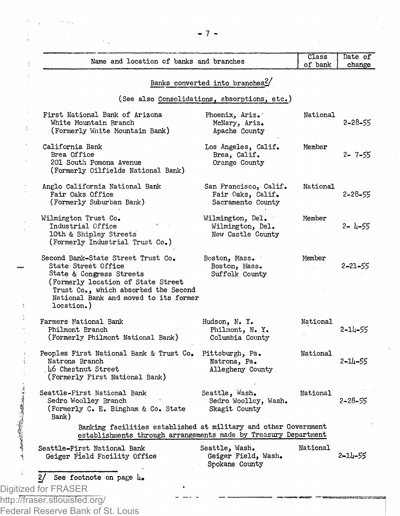| Name and location of banks and branches                                                                                                                                                                                    |                                                                 | Class<br>of bank | Date of<br>change |
|----------------------------------------------------------------------------------------------------------------------------------------------------------------------------------------------------------------------------|-----------------------------------------------------------------|------------------|-------------------|
|                                                                                                                                                                                                                            | Banks converted into branches?                                  |                  |                   |
|                                                                                                                                                                                                                            | (See also Consolidations, absorptions, etc.)                    |                  |                   |
| First National Bank of Arizona<br>White Mountain Branch<br>(Formerly White Mountain Bank)                                                                                                                                  | Phoenix, Ariz.<br>McNary, Ariz.<br>Apache County                | National         | 2-28-55           |
| California Bank<br>Brea Office<br>201 South Pomona Avenue<br>(Formerly Oilfields National Bank)                                                                                                                            | Los Angeles, Calif.<br>Brea, Calif.<br>Orange County            | Member           | 2-7-55            |
| Anglo California National Bank<br>Fair Oaks Office<br>(Formerly Suburban Bank)                                                                                                                                             | San Francisco, Calif.<br>Fair Oaks, Calif.<br>Sacramento County | National         | 2-28-55           |
| Wilmington Trust Co.<br>Industrial Office<br>10th & Shipley Streets<br>(Formerly Industrial Trust Co.)                                                                                                                     | Wilmington, Del.<br>Wilmington, Del.<br>New Castle County       | Member           | 2- 4-55           |
| Second Bank-State Street Trust Co.<br>State Street Office<br>State & Congress Streets<br>(Formerly location of State Street<br>Trust Co., which absorbed the Second<br>National Bank and moved to its former<br>location.) | Boston, Mass.<br>Boston, Mass.<br>Suffolk County                | Member           | 2-21-55           |
| Farmers National Bank<br>Philmont Branch<br>(Formerly Philmont National Bank)                                                                                                                                              | Hudson, N. Y.<br>Philmont, N.Y.<br>Columbia County              | National         | 2-14-55           |
| Peoples First National Bank & Trust Co.<br>Natrona Branch<br>.46 Chestnut Street<br>(Formerly First National Bank)                                                                                                         | Pittsburgh, Pa.<br>Natrona, Pa.<br>Allegheny County             | National         | $2 - 11 - 55$     |
| Seattle-First National Bank<br>Sedro Woolley Branch<br>(Formerly C. E. Bingham & Co. State<br>Bank)                                                                                                                        | Seattle, Wash.<br>Sedro Woolley, Wash.<br>Skagit County         | National         | 2-28-55           |
| Banking facilities established at military and other Government<br>establishments through arrangements made by Treasury Department                                                                                         |                                                                 |                  |                   |
| Seattle-First National Bank<br>Geiger Field Facility Office                                                                                                                                                                | Seattle, Wash.<br>Geiger Field, Wash.<br>Spokane County         | National         | 2-14-55           |
| 2/<br>See footnote on page $\mu_{\bullet}$                                                                                                                                                                                 |                                                                 |                  |                   |
| Digitized for FRASER<br>http://fraser.stlouisfed.org/                                                                                                                                                                      |                                                                 |                  |                   |
| Federal Reserve Bank of St. Louis                                                                                                                                                                                          |                                                                 |                  |                   |

- 7 -

 $\mathcal{L}_{\mathcal{A}}$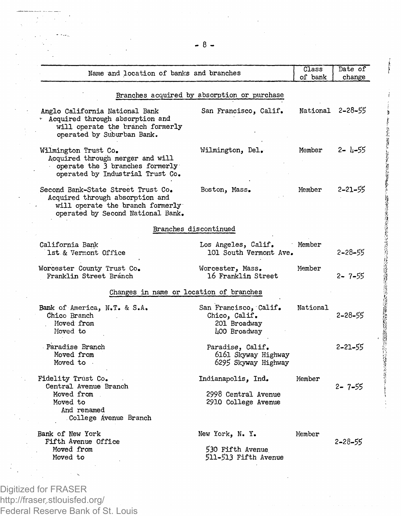| Name and location of banks and branches                                                                                                        |                                                                        | Class<br>of bank | Date of<br>change |
|------------------------------------------------------------------------------------------------------------------------------------------------|------------------------------------------------------------------------|------------------|-------------------|
|                                                                                                                                                | Branches acquired by absorption or purchase                            |                  |                   |
| Anglo California National Bank<br>* Acquired through absorption and<br>will operate the branch formerly<br>operated by Suburban Bank.          | San Francisco, Calif.                                                  | National 2-28-55 |                   |
| Wilmington Trust Co.<br>Acquired through merger and will<br>operate the 3 branches formerly<br>operated by Industrial Trust Co.                | Wilmington, Del.                                                       | Member           | 2- 4-55           |
| Second Bank-State Street Trust Co.<br>Acquired through absorption and<br>will operate the branch formerly<br>operated by Second National Bank. | Boston, Mass.                                                          | Member           | 2-21-55           |
|                                                                                                                                                | Branches discontinued                                                  |                  |                   |
| California Bank<br>1st & Vermont Office                                                                                                        | Los Angeles, Calif.<br>101 South Vermont Ave.                          | Member           | 2-28-55           |
| Worcester County Trust Co.<br>Franklin Street Branch                                                                                           | Worcester, Mass.<br>16 Franklin Street                                 | Member           | 2-7-55            |
| Changes in name or location of branches                                                                                                        |                                                                        |                  |                   |
| Bank of America, N.T. & S.A.<br>Chico Branch<br>Moved from<br>Moved to                                                                         | San Francisco, Calif.<br>Chico, Calif.<br>201 Broadway<br>400 Broadway | National         | 2-28-55           |
| Paradise Branch<br>Moved from<br>Moved to .                                                                                                    | Paradise, Calif.<br>6161 Skyway Highway<br>6295 Skyway Highway         |                  | 2-21-55           |
| Fidelity Trust Co.<br>Central Avenue Branch<br>Moved from<br>Moved to<br>And renamed<br>College Avenue Branch                                  | Indianapolis, Ind.<br>2998 Central Avenue<br>2910 College Avenue       | Member           | 2- 7-55           |
| Bank of New York<br>Fifth Avenue Office<br>Moved from<br>Moved to                                                                              | New York, N.Y.<br>530 Fifth Avenue<br>511-513 Fifth Avenue             | Member           | 2-28-55           |

ļ

早くで生涯に、2012年に10000年まですと、10日の支持を受ける場合ができる。10月22日には10000時間での流行のものの間には100000000000000000000000000000000